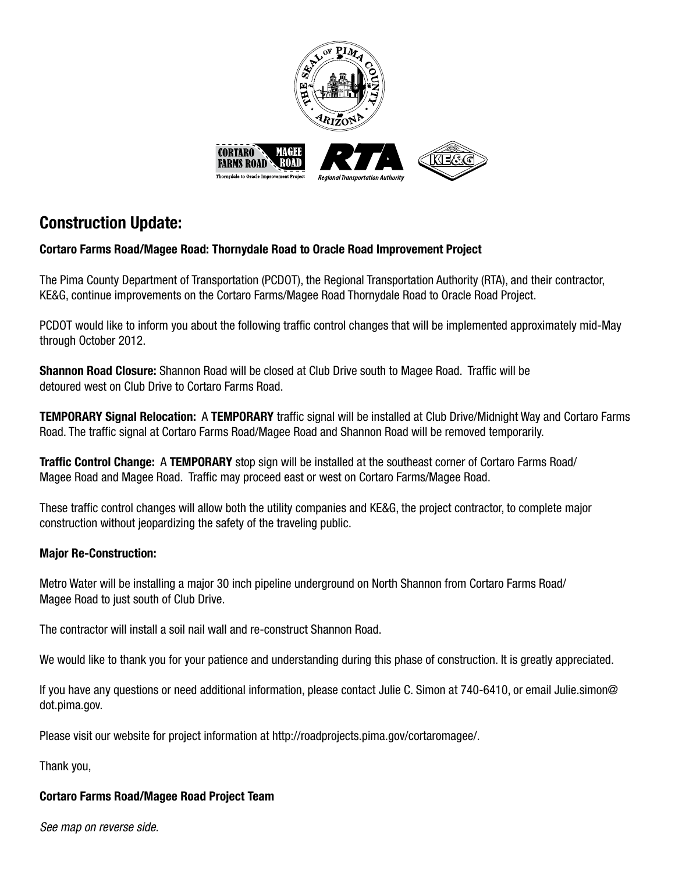

## **Construction Update:**

## **Cortaro Farms Road/Magee Road: Thornydale Road to Oracle Road Improvement Project**

The Pima County Department of Transportation (PCDOT), the Regional Transportation Authority (RTA), and their contractor, KE&G, continue improvements on the Cortaro Farms/Magee Road Thornydale Road to Oracle Road Project.

PCDOT would like to inform you about the following traffic control changes that will be implemented approximately mid-May through October 2012.

**Shannon Road Closure:** Shannon Road will be closed at Club Drive south to Magee Road. Traffic will be detoured west on Club Drive to Cortaro Farms Road.

**TEMPORARY Signal Relocation:** A **TEMPORARY** traffic signal will be installed at Club Drive/Midnight Way and Cortaro Farms Road. The traffic signal at Cortaro Farms Road/Magee Road and Shannon Road will be removed temporarily.

**Traffic Control Change:** A **TEMPORARY** stop sign will be installed at the southeast corner of Cortaro Farms Road/ Magee Road and Magee Road. Traffic may proceed east or west on Cortaro Farms/Magee Road.

These traffic control changes will allow both the utility companies and KE&G, the project contractor, to complete major construction without jeopardizing the safety of the traveling public.

## **Major Re-Construction:**

Metro Water will be installing a major 30 inch pipeline underground on North Shannon from Cortaro Farms Road/ Magee Road to just south of Club Drive.

The contractor will install a soil nail wall and re-construct Shannon Road.

We would like to thank you for your patience and understanding during this phase of construction. It is greatly appreciated.

If you have any questions or need additional information, please contact Julie C. Simon at 740-6410, or email Julie.simon@ dot.pima.gov.

Please visit our website for project information at http://roadprojects.pima.gov/cortaromagee/.

Thank you,

## **Cortaro Farms Road/Magee Road Project Team**

*See map on reverse side.*